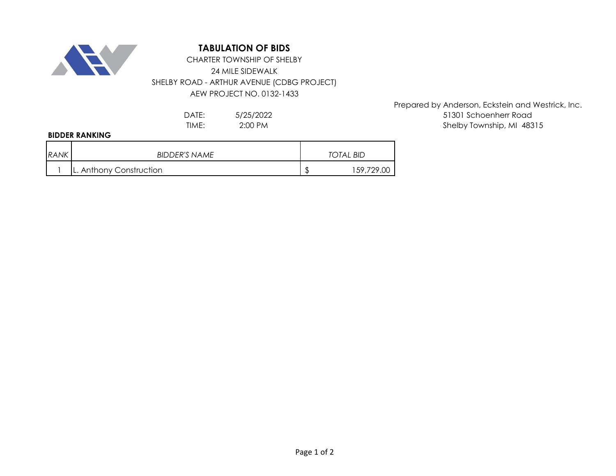

## **TABULATION OF BIDS**

## 24 MILE SIDEWALK SHELBY ROAD - ARTHUR AVENUE (CDBG PROJECT) AEW PROJECT NO. 0132-1433 CHARTER TOWNSHIP OF SHELBY

5/25/2022 2:00 PM

## **BIDDER RANKING**

| <b>RANK</b> | <b>BIDDER'S NAME</b>    | TOTAL BID |            |
|-------------|-------------------------|-----------|------------|
|             | L. Anthony Construction |           | 159,729.00 |

Prepared by Anderson, Eckstein and Westrick, Inc. DATE: 5/25/2022 51301 Schoenherr Road TIME: 2:00 PM 2:00 PM 2:00 PM 2:00 PM 3:00 PM 3:00 PM 3:00 PM 3:00 PM 3:00 PM 3:00 PM 3:00 PM 3:00 PM 3:00 PM 3:00 PM 3:00 PM 3:00 PM 3:00 PM 3:00 PM 3:00 PM 3:00 PM 3:00 PM 3:00 PM 3:00 PM 3:00 PM 3:00 PM 3:00 PM 3:00 PM